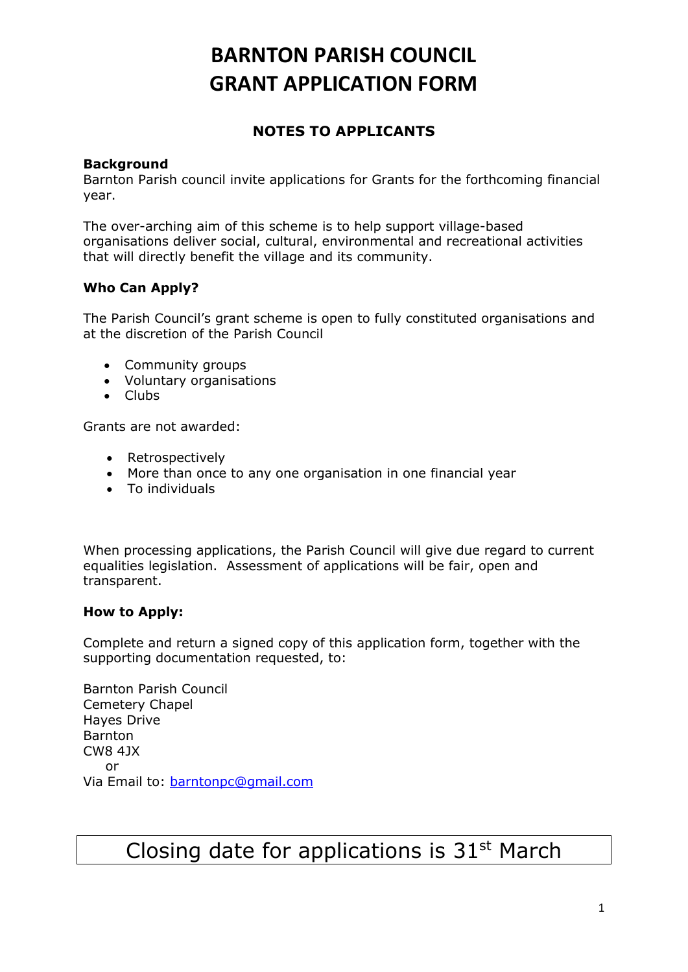## **NOTES TO APPLICANTS**

## **Background**

Barnton Parish council invite applications for Grants for the forthcoming financial year.

The over-arching aim of this scheme is to help support village-based organisations deliver social, cultural, environmental and recreational activities that will directly benefit the village and its community.

## **Who Can Apply?**

The Parish Council's grant scheme is open to fully constituted organisations and at the discretion of the Parish Council

- Community groups
- Voluntary organisations
- Clubs

Grants are not awarded:

- Retrospectively
- More than once to any one organisation in one financial year
- To individuals

When processing applications, the Parish Council will give due regard to current equalities legislation. Assessment of applications will be fair, open and transparent.

## **How to Apply:**

Complete and return a signed copy of this application form, together with the supporting documentation requested, to:

Barnton Parish Council Cemetery Chapel Hayes Drive **Barnton** CW8 4JX or Via Email to: [barntonpc@gmail.com](mailto:barntonpc@gmail.com)

## Closing date for applications is  $31<sup>st</sup>$  March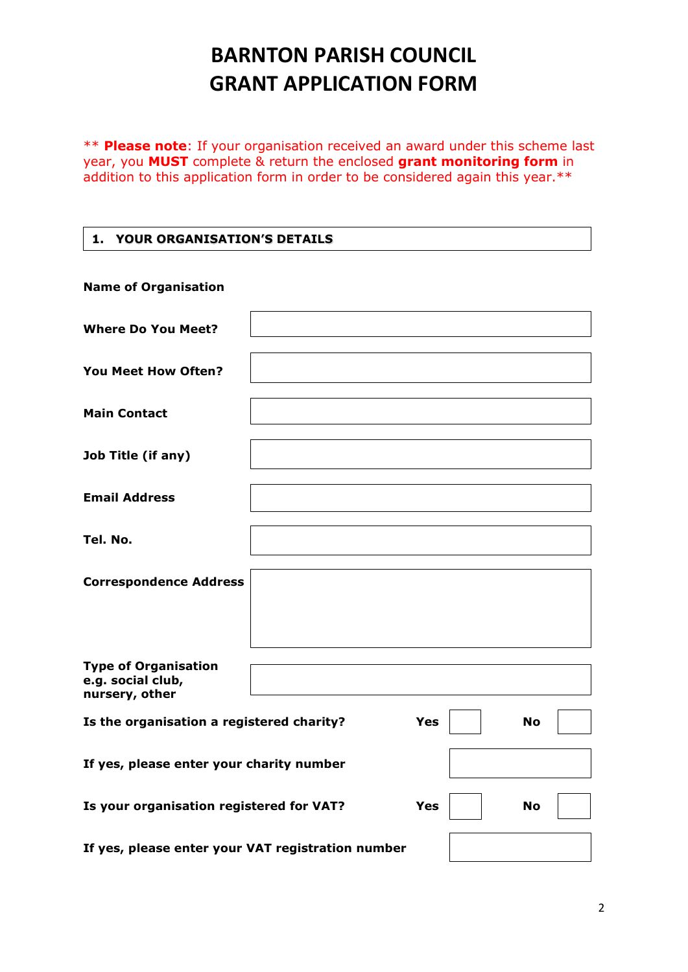\*\* **Please note**: If your organisation received an award under this scheme last year, you **MUST** complete & return the enclosed **grant monitoring form** in addition to this application form in order to be considered again this year.\*\*

## **1. YOUR ORGANISATION'S DETAILS**

| <b>Name of Organisation</b>                                         |  |            |           |  |
|---------------------------------------------------------------------|--|------------|-----------|--|
| <b>Where Do You Meet?</b>                                           |  |            |           |  |
| You Meet How Often?                                                 |  |            |           |  |
| <b>Main Contact</b>                                                 |  |            |           |  |
| Job Title (if any)                                                  |  |            |           |  |
| <b>Email Address</b>                                                |  |            |           |  |
| Tel. No.                                                            |  |            |           |  |
| <b>Correspondence Address</b>                                       |  |            |           |  |
| <b>Type of Organisation</b><br>e.g. social club,<br>nursery, other  |  |            |           |  |
| Is the organisation a registered charity?                           |  | <b>Yes</b> | <b>No</b> |  |
| If yes, please enter your charity number                            |  |            |           |  |
| Is your organisation registered for VAT?<br><b>Yes</b><br><b>No</b> |  |            |           |  |
| If yes, please enter your VAT registration number                   |  |            |           |  |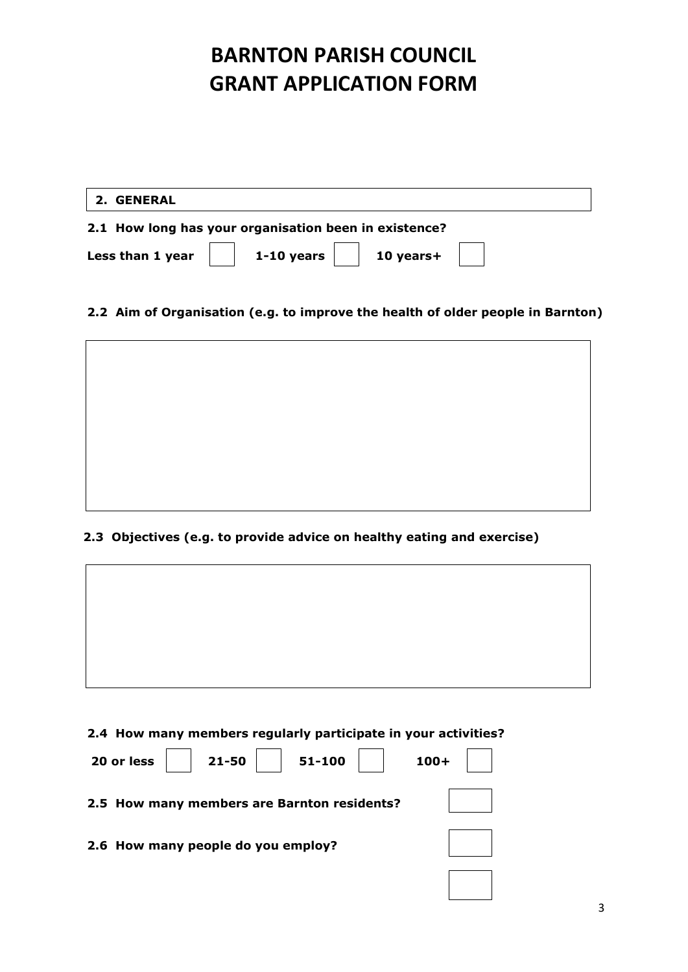|                                                       | 2. GENERAL                                                                                                         |  |  |
|-------------------------------------------------------|--------------------------------------------------------------------------------------------------------------------|--|--|
| 2.1 How long has your organisation been in existence? |                                                                                                                    |  |  |
|                                                       | Less than 1 year $\begin{vmatrix} 1 & 1 & 10 \end{vmatrix}$ years $\begin{vmatrix} 1 & 10 \end{vmatrix}$ years $+$ |  |  |

## **2.2 Aim of Organisation (e.g. to improve the health of older people in Barnton)**



## **2.3 Objectives (e.g. to provide advice on healthy eating and exercise)**



## **2.4 How many members regularly participate in your activities?**

| $21 - 50$<br>51-100<br>20 or less           | $100 +$ |
|---------------------------------------------|---------|
| 2.5 How many members are Barnton residents? |         |
| 2.6 How many people do you employ?          |         |
|                                             |         |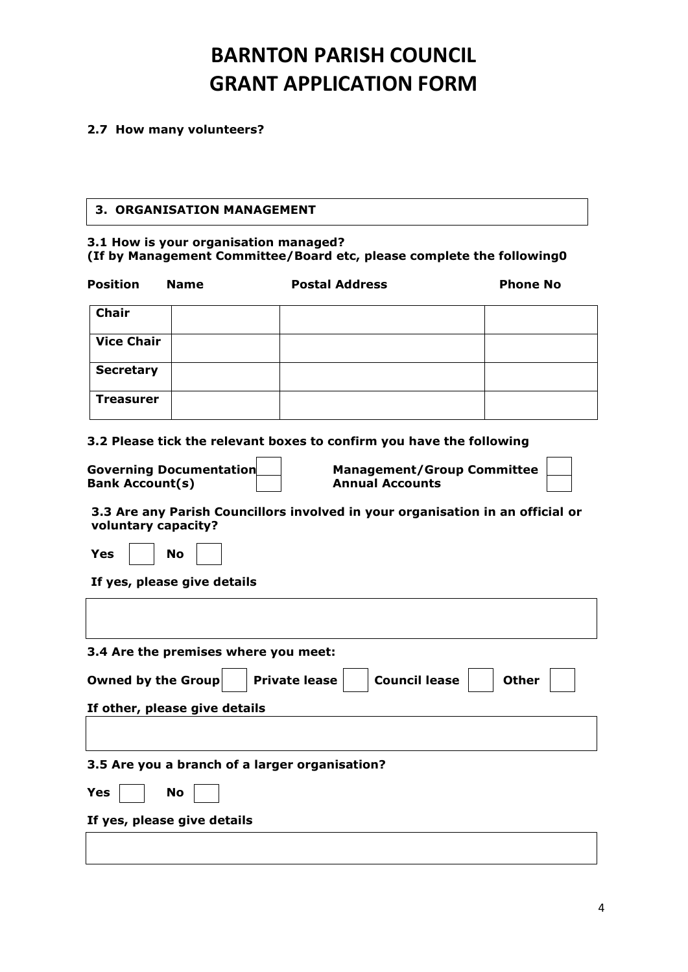### **2.7 How many volunteers?**

### **3. ORGANISATION MANAGEMENT**

#### **3.1 How is your organisation managed? (If by Management Committee/Board etc, please complete the following0**

| <b>Position</b>           | <b>Name</b>                                    | <b>Postal Address</b>                                                          | <b>Phone No</b> |
|---------------------------|------------------------------------------------|--------------------------------------------------------------------------------|-----------------|
| <b>Chair</b>              |                                                |                                                                                |                 |
| <b>Vice Chair</b>         |                                                |                                                                                |                 |
| <b>Secretary</b>          |                                                |                                                                                |                 |
| <b>Treasurer</b>          |                                                |                                                                                |                 |
|                           |                                                | 3.2 Please tick the relevant boxes to confirm you have the following           |                 |
| <b>Bank Account(s)</b>    | <b>Governing Documentation</b>                 | <b>Management/Group Committee</b><br><b>Annual Accounts</b>                    |                 |
| voluntary capacity?       |                                                | 3.3 Are any Parish Councillors involved in your organisation in an official or |                 |
| Yes                       | <b>No</b>                                      |                                                                                |                 |
|                           | If yes, please give details                    |                                                                                |                 |
|                           |                                                |                                                                                |                 |
|                           | 3.4 Are the premises where you meet:           |                                                                                |                 |
| <b>Owned by the Group</b> |                                                | <b>Council lease</b><br><b>Private lease</b>                                   | <b>Other</b>    |
|                           | If other, please give details                  |                                                                                |                 |
|                           |                                                |                                                                                |                 |
|                           | 3.5 Are you a branch of a larger organisation? |                                                                                |                 |

| .,<br>- | $\sim$<br>$\sim$ |  |
|---------|------------------|--|
|         |                  |  |

**If yes, please give details**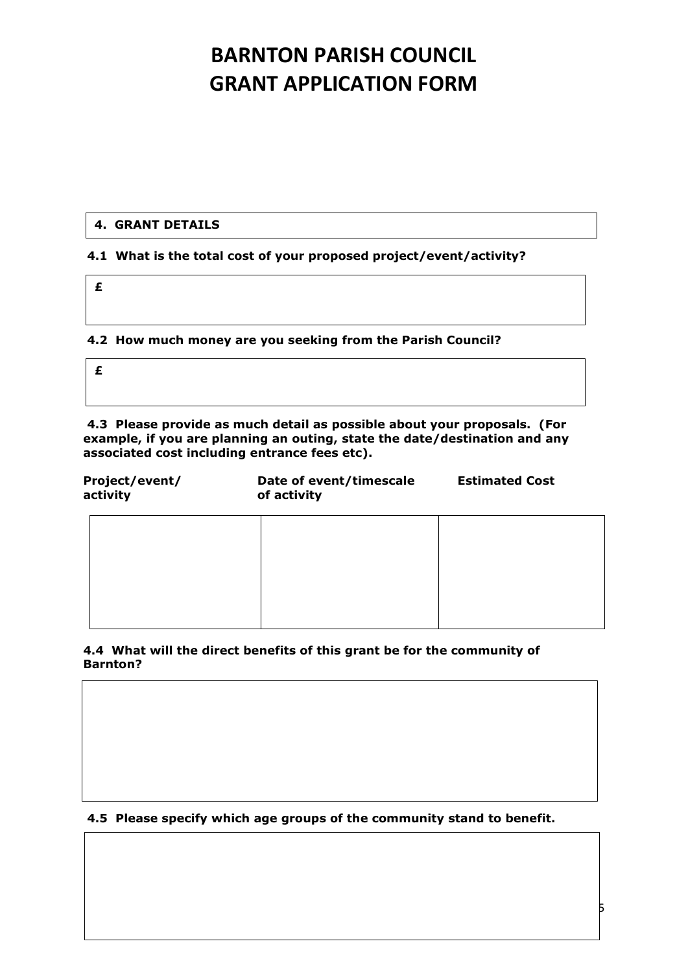## **4. GRANT DETAILS**

### **4.1 What is the total cost of your proposed project/event/activity?**

**£**

**4.2 How much money are you seeking from the Parish Council?**

**£**

**4.3 Please provide as much detail as possible about your proposals. (For example, if you are planning an outing, state the date/destination and any associated cost including entrance fees etc).**

| Project/event/<br>activity | Date of event/timescale<br>of activity | <b>Estimated Cost</b> |  |
|----------------------------|----------------------------------------|-----------------------|--|
|                            |                                        |                       |  |
|                            |                                        |                       |  |
|                            |                                        |                       |  |
|                            |                                        |                       |  |

**4.4 What will the direct benefits of this grant be for the community of Barnton?**

### **4.5 Please specify which age groups of the community stand to benefit.**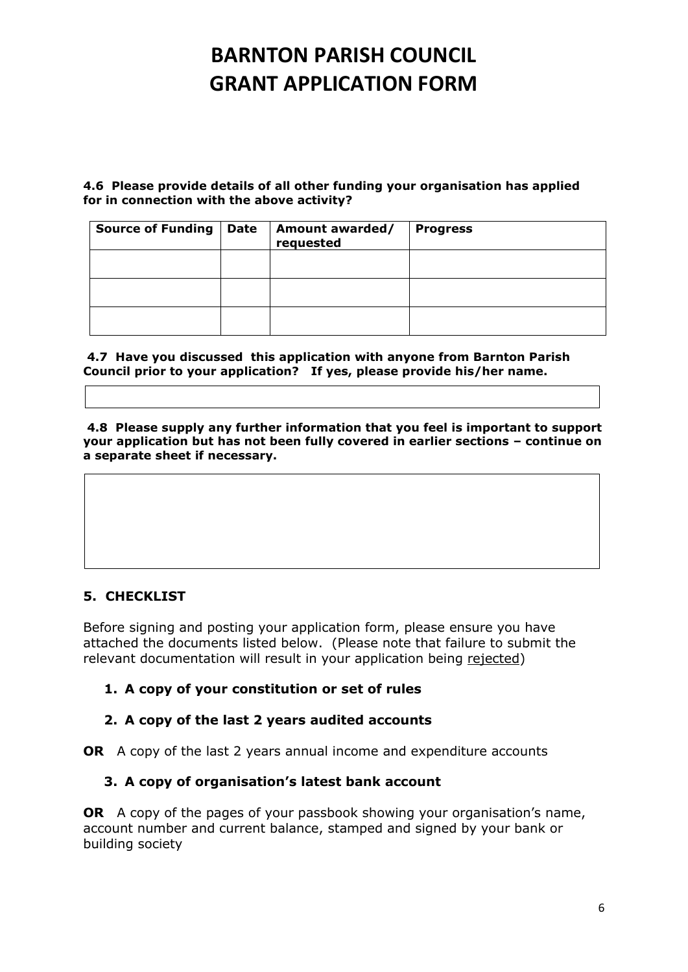**4.6 Please provide details of all other funding your organisation has applied for in connection with the above activity?** 

| <b>Source of Funding   Date</b> | Amount awarded/<br>requested | <b>Progress</b> |
|---------------------------------|------------------------------|-----------------|
|                                 |                              |                 |
|                                 |                              |                 |
|                                 |                              |                 |

**4.7 Have you discussed this application with anyone from Barnton Parish Council prior to your application? If yes, please provide his/her name.**

**4.8 Please supply any further information that you feel is important to support your application but has not been fully covered in earlier sections – continue on a separate sheet if necessary.**

## **5. CHECKLIST**

Before signing and posting your application form, please ensure you have attached the documents listed below. (Please note that failure to submit the relevant documentation will result in your application being rejected)

## **1. A copy of your constitution or set of rules**

## **2. A copy of the last 2 years audited accounts**

**OR** A copy of the last 2 years annual income and expenditure accounts

## **3. A copy of organisation's latest bank account**

**OR** A copy of the pages of your passbook showing your organisation's name, account number and current balance, stamped and signed by your bank or building society